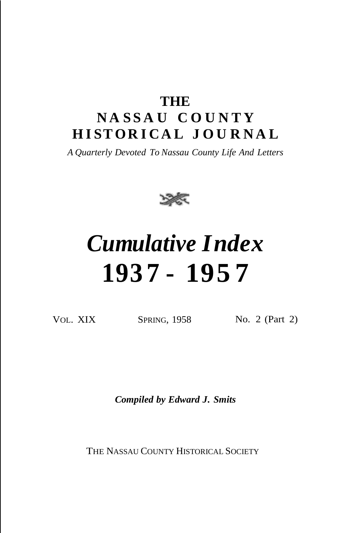# **THE N A S S A U C O U N T Y H I STOR I CA L J O U R N A L**

*A Quarterly Devoted To Nassau County Life And Letters*



# *Cumulative Index* **193 7 - 195 7**

VOL. XIX SPRING, 1958 No. 2 (Part 2)

*Compiled by Edward J. Smits*

THE NASSAU COUNTY HISTORICAL SOCIETY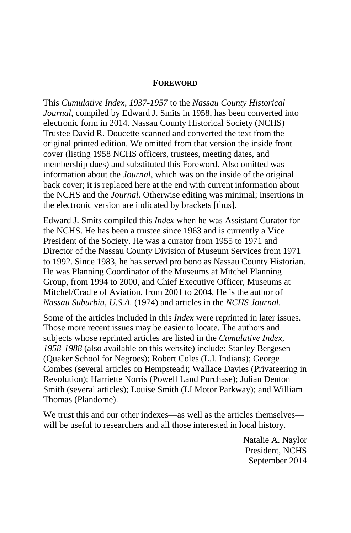#### **FOREWORD**

This *Cumulative Index, 1937-1957* to the *Nassau County Historical Journal,* compiled by Edward J. Smits in 1958, has been converted into electronic form in 2014. Nassau County Historical Society (NCHS) Trustee David R. Doucette scanned and converted the text from the original printed edition. We omitted from that version the inside front cover (listing 1958 NCHS officers, trustees, meeting dates, and membership dues) and substituted this Foreword. Also omitted was information about the *Journal,* which was on the inside of the original back cover; it is replaced here at the end with current information about the NCHS and the *Journal*. Otherwise editing was minimal; insertions in the electronic version are indicated by brackets [thus].

Edward J. Smits compiled this *Index* when he was Assistant Curator for the NCHS. He has been a trustee since 1963 and is currently a Vice President of the Society. He was a curator from 1955 to 1971 and Director of the Nassau County Division of Museum Services from 1971 to 1992. Since 1983, he has served pro bono as Nassau County Historian. He was Planning Coordinator of the Museums at Mitchel Planning Group, from 1994 to 2000, and Chief Executive Officer, Museums at Mitchel/Cradle of Aviation, from 2001 to 2004. He is the author of *Nassau Suburbia, U.S.A.* (1974) and articles in the *NCHS Journal.*

Some of the articles included in this *Index* were reprinted in later issues. Those more recent issues may be easier to locate. The authors and subjects whose reprinted articles are listed in the *Cumulative Index, 1958-1988* (also available on this website) include: Stanley Bergesen (Quaker School for Negroes); Robert Coles (L.I. Indians); George Combes (several articles on Hempstead); Wallace Davies (Privateering in Revolution); Harriette Norris (Powell Land Purchase); Julian Denton Smith (several articles); Louise Smith (LI Motor Parkway); and William Thomas (Plandome).

We trust this and our other indexes—as well as the articles themselves will be useful to researchers and all those interested in local history.

> Natalie A. Naylor President, NCHS September 2014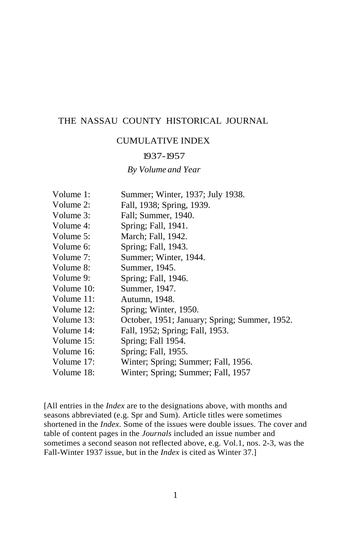#### THE NASSAU COUNTY HISTORICAL JOURNAL

#### CUMULATIVE INDEX

#### 1937-1957

#### *By Volume and Year*

| Volume 1:  | Summer; Winter, 1937; July 1938.              |
|------------|-----------------------------------------------|
| Volume 2:  | Fall, 1938; Spring, 1939.                     |
| Volume 3:  | Fall; Summer, 1940.                           |
| Volume 4:  | Spring; Fall, 1941.                           |
| Volume 5:  | March; Fall, 1942.                            |
| Volume 6:  | Spring; Fall, 1943.                           |
| Volume 7:  | Summer; Winter, 1944.                         |
| Volume 8:  | Summer, 1945.                                 |
| Volume 9:  | Spring; Fall, 1946.                           |
| Volume 10: | Summer, 1947.                                 |
| Volume 11: | Autumn, 1948.                                 |
| Volume 12: | Spring; Winter, 1950.                         |
| Volume 13: | October, 1951; January; Spring; Summer, 1952. |
| Volume 14: | Fall, 1952; Spring; Fall, 1953.               |
| Volume 15: | Spring; Fall 1954.                            |
| Volume 16: | Spring; Fall, 1955.                           |
| Volume 17: | Winter; Spring; Summer; Fall, 1956.           |
| Volume 18: | Winter; Spring; Summer; Fall, 1957            |

[All entries in the *Index* are to the designations above, with months and seasons abbreviated (e.g. Spr and Sum). Article titles were sometimes shortened in the *Index.* Some of the issues were double issues. The cover and table of content pages in the *Journals* included an issue number and sometimes a second season not reflected above, e.g. Vol.1, nos. 2-3, was the Fall-Winter 1937 issue, but in the *Index* is cited as Winter 37.]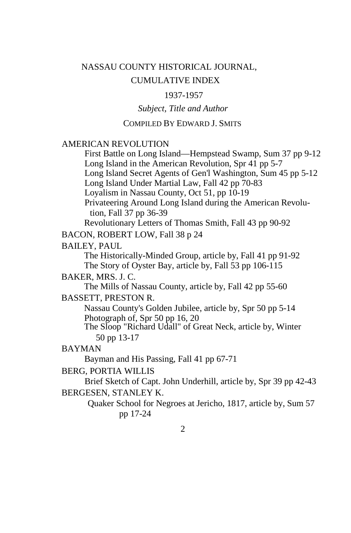## NASSAU COUNTY HISTORICAL JOURNAL, CUMULATIVE INDEX

#### 1937-1957

#### *Subject, Title and Author*

#### COMPILED BY EDWARD J. SMITS

#### AMERICAN REVOLUTION

First Battle on Long Island—Hempstead Swamp, Sum 37 pp 9-12 Long Island in the American Revolution, Spr 41 pp 5-7 Long Island Secret Agents of Gen'l Washington, Sum 45 pp 5-12 Long Island Under Martial Law, Fall 42 pp 70-83 Loyalism in Nassau County, Oct 51, pp 10-19 Privateering Around Long Island during the American Revolution, Fall 37 pp 36-39

Revolutionary Letters of Thomas Smith, Fall 43 pp 90-92

BACON, ROBERT LOW, Fall 38 p 24

BAILEY, PAUL

The Historically-Minded Group, article by, Fall 41 pp 91-92 The Story of Oyster Bay, article by, Fall 53 pp 106-115

#### BAKER, MRS. J. C.

The Mills of Nassau County, article by, Fall 42 pp 55-60

#### BASSETT, PRESTON R.

Nassau County's Golden Jubilee, article by, Spr 50 pp 5-14 Photograph of, Spr 50 pp 16, 20

The Sloop "Richard Udall" of Great Neck, article by, Winter 50 pp 13-17

#### BAYMAN

Bayman and His Passing, Fall 41 pp 67-71

#### BERG, PORTIA WILLIS

Brief Sketch of Capt. John Underhill, article by, Spr 39 pp 42-43 BERGESEN, STANLEY K.

> Quaker School for Negroes at Jericho, 1817, article by, Sum 57 pp 17-24

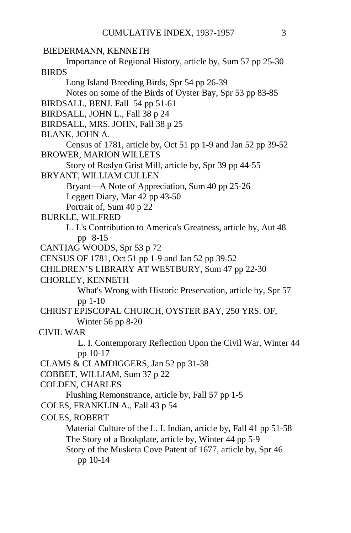```
BIEDERMANN, KENNETH
      Importance of Regional History, article by, Sum 57 pp 25-30
BIRDS
      Long Island Breeding Birds, Spr 54 pp 26-39
      Notes on some of the Birds of Oyster Bay, Spr 53 pp 83-85
BIRDSALL, BENJ. Fall 54 pp 51-61
BIRDSALL, JOHN L., Fall 38 p 24
BIRDSALL, MRS. JOHN, Fall 38 p 25
BLANK, JOHN A.
      Census of 1781, article by, Oct 51 pp 1-9 and Jan 52 pp 39-52
BROWER, MARION WILLETS
      Story of Roslyn Grist Mill, article by, Spr 39 pp 44-55
BRYANT, WILLIAM CULLEN
      Bryant—A Note of Appreciation, Sum 40 pp 25-26
      Leggett Diary, Mar 42 pp 43-50
      Portrait of, Sum 40 p 22
BURKLE, WILFRED
      L. I.'s Contribution to America's Greatness, article by, Aut 48
         pp 8-15
CANTIAG WOODS, Spr 53 p 72
CENSUS OF 1781, Oct 51 pp 1-9 and Jan 52 pp 39-52
CHILDREN'S LIBRARY AT WESTBURY, Sum 47 pp 22-30
CHORLEY, KENNETH
         What's Wrong with Historic Preservation, article by, Spr 57
         pp 1-10
CHRIST EPISCOPAL CHURCH, OYSTER BAY, 250 YRS. OF,
         Winter 56 pp 8-20
CIVIL WAR
         L. I. Contemporary Reflection Upon the Civil War, Winter 44 
         pp 10-17
CLAMS & CLAMDIGGERS, Jan 52 pp 31-38
COBBET, WILLIAM, Sum 37 p 22
COLDEN, CHARLES
      Flushing Remonstrance, article by, Fall 57 pp 1-5
COLES, FRANKLIN A., Fall 43 p 54
COLES, ROBERT
      Material Culture of the L. I. Indian, article by, Fall 41 pp 51-58
      The Story of a Bookplate, article by, Winter 44 pp 5-9
      Story of the Musketa Cove Patent of 1677, article by, Spr 46
         pp 10-14
```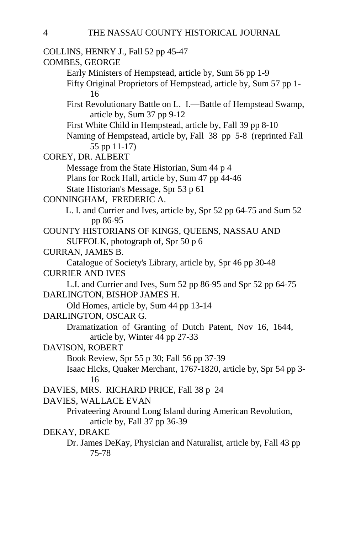COLLINS, HENRY J., Fall 52 pp 45-47 COMBES, GEORGE Early Ministers of Hempstead, article by, Sum 56 pp 1-9 Fifty Original Proprietors of Hempstead, article by, Sum 57 pp 1- 16 First Revolutionary Battle on L. I.—Battle of Hempstead Swamp, article by, Sum 37 pp 9-12 First White Child in Hempstead, article by, Fall 39 pp 8-10 Naming of Hempstead, article by, Fall 38 pp 5-8 (reprinted Fall 55 pp 11-17) COREY, DR. ALBERT Message from the State Historian, Sum 44 p 4 Plans for Rock Hall, article by, Sum 47 pp 44-46 State Historian's Message, Spr 53 p 61 CONNINGHAM, FREDERIC A. L. I. and Currier and Ives, article by, Spr 52 pp 64-75 and Sum 52 pp 86-95 COUNTY HISTORIANS OF KINGS, QUEENS, NASSAU AND SUFFOLK, photograph of, Spr 50 p 6 CURRAN, JAMES B. Catalogue of Society's Library, article by, Spr 46 pp 30-48 CURRIER AND IVES L.I. and Currier and Ives, Sum 52 pp 86-95 and Spr 52 pp 64-75 DARLINGTON, BISHOP JAMES H. Old Homes, article by, Sum 44 pp 13-14 DARLINGTON, OSCAR G. Dramatization of Granting of Dutch Patent, Nov 16, 1644, article by, Winter 44 pp 27-33 DAVISON, ROBERT Book Review, Spr 55 p 30; Fall 56 pp 37-39 Isaac Hicks, Quaker Merchant, 1767-1820, article by, Spr 54 pp 3- 16 DAVIES, MRS. RICHARD PRICE, Fall 38 p 24 DAVIES, WALLACE EVAN Privateering Around Long Island during American Revolution, article by, Fall 37 pp 36-39 DEKAY, DRAKE Dr. James DeKay, Physician and Naturalist, article by, Fall 43 pp 75-78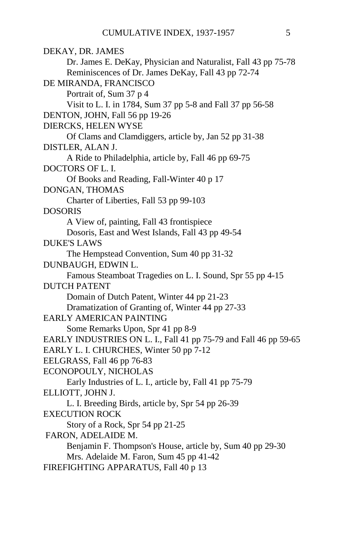| DEKAY, DR. JAMES                                                 |
|------------------------------------------------------------------|
| Dr. James E. DeKay, Physician and Naturalist, Fall 43 pp 75-78   |
| Reminiscences of Dr. James DeKay, Fall 43 pp 72-74               |
| DE MIRANDA, FRANCISCO                                            |
| Portrait of, Sum 37 p 4                                          |
| Visit to L. I. in 1784, Sum 37 pp 5-8 and Fall 37 pp 56-58       |
| DENTON, JOHN, Fall 56 pp 19-26                                   |
| DIERCKS, HELEN WYSE                                              |
| Of Clams and Clamdiggers, article by, Jan 52 pp 31-38            |
| DISTLER, ALAN J.                                                 |
| A Ride to Philadelphia, article by, Fall 46 pp 69-75             |
| DOCTORS OF L.I.                                                  |
| Of Books and Reading, Fall-Winter 40 p 17                        |
| DONGAN, THOMAS                                                   |
| Charter of Liberties, Fall 53 pp 99-103                          |
| <b>DOSORIS</b>                                                   |
| A View of, painting, Fall 43 frontispiece                        |
| Dosoris, East and West Islands, Fall 43 pp 49-54                 |
| <b>DUKE'S LAWS</b>                                               |
| The Hempstead Convention, Sum 40 pp 31-32                        |
| DUNBAUGH, EDWIN L.                                               |
| Famous Steamboat Tragedies on L. I. Sound, Spr 55 pp 4-15        |
| <b>DUTCH PATENT</b>                                              |
| Domain of Dutch Patent, Winter 44 pp 21-23                       |
| Dramatization of Granting of, Winter 44 pp 27-33                 |
| <b>EARLY AMERICAN PAINTING</b>                                   |
| Some Remarks Upon, Spr 41 pp 8-9                                 |
| EARLY INDUSTRIES ON L. I., Fall 41 pp 75-79 and Fall 46 pp 59-65 |
| EARLY L. I. CHURCHES, Winter 50 pp 7-12                          |
| EELGRASS, Fall 46 pp 76-83                                       |
| ECONOPOULY, NICHOLAS                                             |
| Early Industries of L. I., article by, Fall 41 pp 75-79          |
| ELLIOTT, JOHN J.                                                 |
| L. I. Breeding Birds, article by, Spr 54 pp 26-39                |
| EXECUTION ROCK                                                   |
| Story of a Rock, Spr 54 pp 21-25                                 |
| FARON, ADELAIDE M.                                               |
| Benjamin F. Thompson's House, article by, Sum 40 pp 29-30        |
| Mrs. Adelaide M. Faron, Sum 45 pp 41-42                          |
| FIREFIGHTING APPARATUS, Fall 40 p 13                             |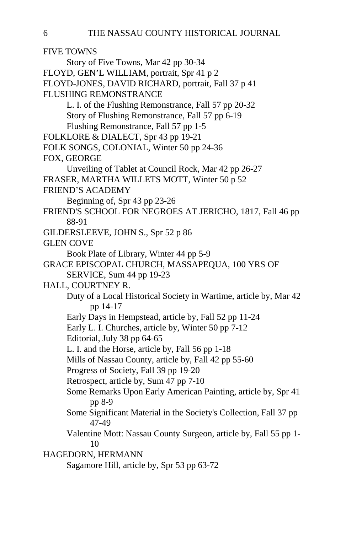FIVE TOWNS Story of Five Towns, Mar 42 pp 30-34 FLOYD, GEN'L WILLIAM, portrait, Spr 41 p 2 FLOYD-JONES, DAVID RICHARD, portrait, Fall 37 p 41 FLUSHING REMONSTRANCE L. I. of the Flushing Remonstrance, Fall 57 pp 20-32 Story of Flushing Remonstrance, Fall 57 pp 6-19 Flushing Remonstrance, Fall 57 pp 1-5 FOLKLORE & DIALECT, Spr 43 pp 19-21 FOLK SONGS, COLONIAL, Winter 50 pp 24-36 FOX, GEORGE Unveiling of Tablet at Council Rock, Mar 42 pp 26-27 FRASER, MARTHA WILLETS MOTT, Winter 50 p 52 FRIEND'S ACADEMY Beginning of, Spr 43 pp 23-26 FRIEND'S SCHOOL FOR NEGROES AT JERICHO, 1817, Fall 46 pp 88-91 GILDERSLEEVE, JOHN S., Spr 52 p 86 GLEN COVE Book Plate of Library, Winter 44 pp 5-9 GRACE EPISCOPAL CHURCH, MASSAPEQUA, 100 YRS OF SERVICE, Sum 44 pp 19-23 HALL, COURTNEY R. Duty of a Local Historical Society in Wartime, article by, Mar 42 pp 14-17 Early Days in Hempstead, article by, Fall 52 pp 11-24 Early L. I. Churches, article by, Winter 50 pp 7-12 Editorial, July 38 pp 64-65 L. I. and the Horse, article by, Fall 56 pp 1-18 Mills of Nassau County, article by, Fall 42 pp 55-60 Progress of Society, Fall 39 pp 19-20 Retrospect, article by, Sum 47 pp 7-10 Some Remarks Upon Early American Painting, article by, Spr 41 pp 8-9 Some Significant Material in the Society's Collection, Fall 37 pp 47-49 Valentine Mott: Nassau County Surgeon, article by, Fall 55 pp 1- 10 HAGEDORN, HERMANN Sagamore Hill, article by, Spr 53 pp 63-72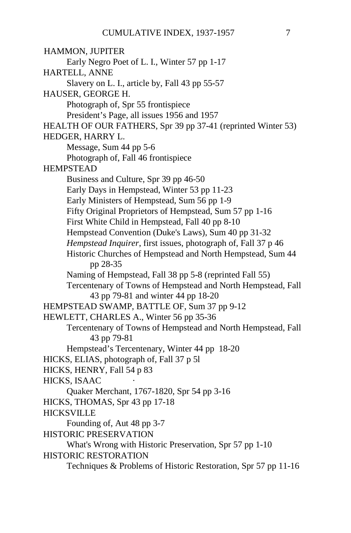HAMMON, JUPITER Early Negro Poet of L. I., Winter 57 pp 1-17 HARTELL, ANNE Slavery on L. I., article by, Fall 43 pp 55-57 HAUSER, GEORGE H. Photograph of, Spr 55 frontispiece President's Page, all issues 1956 and 1957 HEALTH OF OUR FATHERS, Spr 39 pp 37-41 (reprinted Winter 53) HEDGER, HARRY L. Message, Sum 44 pp 5-6 Photograph of, Fall 46 frontispiece HEMPSTEAD Business and Culture, Spr 39 pp 46-50 Early Days in Hempstead, Winter 53 pp 11-23 Early Ministers of Hempstead, Sum 56 pp 1-9 Fifty Original Proprietors of Hempstead, Sum 57 pp 1-16 First White Child in Hempstead, Fall 40 pp 8-10 Hempstead Convention (Duke's Laws), Sum 40 pp 31-32 *Hempstead Inquirer*, first issues, photograph of, Fall 37 p 46 Historic Churches of Hempstead and North Hempstead, Sum 44 pp 28-35 Naming of Hempstead, Fall 38 pp 5-8 (reprinted Fall 55) Tercentenary of Towns of Hempstead and North Hempstead, Fall 43 pp 79-81 and winter 44 pp 18-20 HEMPSTEAD SWAMP, BATTLE OF, Sum 37 pp 9-12 HEWLETT, CHARLES A., Winter 56 pp 35-36 Tercentenary of Towns of Hempstead and North Hempstead, Fall 43 pp 79-81 Hempstead's Tercentenary, Winter 44 pp 18-20 HICKS, ELIAS, photograph of, Fall 37 p 5l HICKS, HENRY, Fall 54 p 83 HICKS, ISAAC Quaker Merchant, 1767-1820, Spr 54 pp 3-16 HICKS, THOMAS, Spr 43 pp 17-18 **HICKSVILLE** Founding of, Aut 48 pp 3-7 HISTORIC PRESERVATION What's Wrong with Historic Preservation, Spr 57 pp 1-10 HISTORIC RESTORATION Techniques & Problems of Historic Restoration, Spr 57 pp 11-16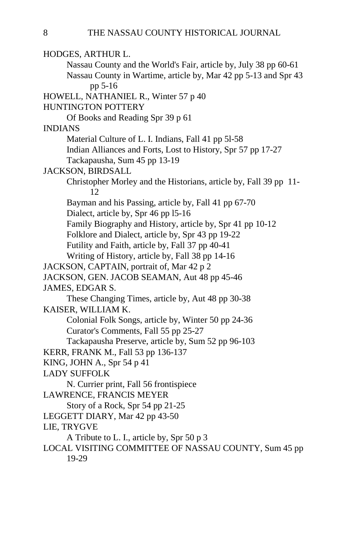HODGES, ARTHUR L. Nassau County and the World's Fair, article by, July 38 pp 60-61 Nassau County in Wartime, article by, Mar 42 pp 5-13 and Spr 43 pp 5-16 HOWELL, NATHANIEL R., Winter 57 p 40 HUNTINGTON POTTERY Of Books and Reading Spr 39 p 61 INDIANS Material Culture of L. I. Indians, Fall 41 pp 5l-58 Indian Alliances and Forts, Lost to History, Spr 57 pp 17-27 Tackapausha, Sum 45 pp 13-19 JACKSON, BIRDSALL Christopher Morley and the Historians, article by, Fall 39 pp 11- 12 Bayman and his Passing, article by, Fall 41 pp 67-70 Dialect, article by, Spr 46 pp l5-16 Family Biography and History, article by, Spr 41 pp 10-12 Folklore and Dialect, article by, Spr 43 pp 19-22 Futility and Faith, article by, Fall 37 pp 40-41 Writing of History, article by, Fall 38 pp 14-16 JACKSON, CAPTAIN, portrait of, Mar 42 p 2 JACKSON, GEN. JACOB SEAMAN, Aut 48 pp 45-46 JAMES, EDGAR S. These Changing Times, article by, Aut 48 pp 30-38 KAISER, WILLIAM K. Colonial Folk Songs, article by, Winter 50 pp 24-36 Curator's Comments, Fall 55 pp 25-27 Tackapausha Preserve, article by, Sum 52 pp 96-103 KERR, FRANK M., Fall 53 pp 136-137 KING, JOHN A., Spr 54 p 41 LADY SUFFOLK N. Currier print, Fall 56 frontispiece LAWRENCE, FRANCIS MEYER Story of a Rock, Spr 54 pp 21-25 LEGGETT DIARY, Mar 42 pp 43-50 LIE, TRYGVE A Tribute to L. I., article by, Spr 50 p 3 LOCAL VISITING COMMITTEE OF NASSAU COUNTY, Sum 45 pp 19-29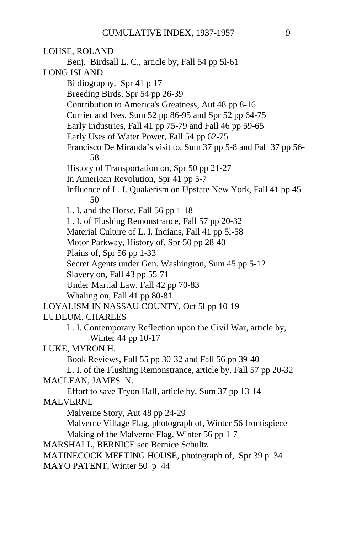LOHSE, ROLAND Benj. Birdsall L. C., article by, Fall 54 pp 5l-61 LONG ISLAND Bibliography, Spr 41 p 17 Breeding Birds, Spr 54 pp 26-39 Contribution to America's Greatness, Aut 48 pp 8-16 Currier and Ives, Sum 52 pp 86-95 and Spr 52 pp 64-75 Early Industries, Fall 41 pp 75-79 and Fall 46 pp 59-65 Early Uses of Water Power, Fall 54 pp 62-75 Francisco De Miranda's visit to, Sum 37 pp 5-8 and Fall 37 pp 56- 58 History of Transportation on, Spr 50 pp 21-27 In American Revolution, Spr 41 pp 5-7 Influence of L. I. Quakerism on Upstate New York, Fall 41 pp 45- 50 L. I. and the Horse, Fall 56 pp 1-18 L. I. of Flushing Remonstrance, Fall 57 pp 20-32 Material Culture of L. I. Indians, Fall 41 pp 5l-58 Motor Parkway, History of, Spr 50 pp 28-40 Plains of, Spr 56 pp 1-33 Secret Agents under Gen. Washington, Sum 45 pp 5-12 Slavery on, Fall 43 pp 55-71 Under Martial Law, Fall 42 pp 70-83 Whaling on, Fall 41 pp 80-81 LOYALISM IN NASSAU COUNTY, Oct 5l pp 10-19 LUDLUM, CHARLES L. I. Contemporary Reflection upon the Civil War, article by, Winter 44 pp 10-17 LUKE, MYRON H. Book Reviews, Fall 55 pp 30-32 and Fall 56 pp 39-40 L. I. of the Flushing Remonstrance, article by, Fall 57 pp 20-32 MACLEAN, JAMES N. Effort to save Tryon Hall, article by, Sum 37 pp 13-14 MALVERNE Malverne Story, Aut 48 pp 24-29 Malverne Village Flag, photograph of, Winter 56 frontispiece Making of the Malverne Flag, Winter 56 pp 1-7 MARSHALL, BERNICE see Bernice Schultz MATINECOCK MEETING HOUSE, photograph of, Spr 39 p 34 MAYO PATENT, Winter 50 p 44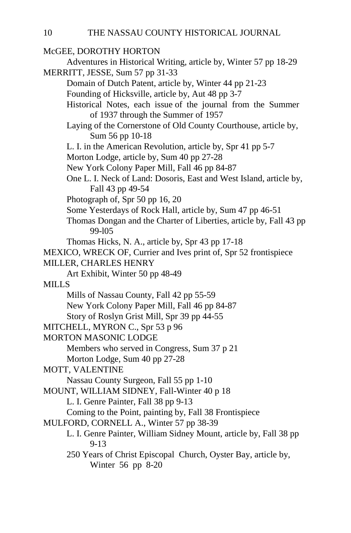### McGEE, DOROTHY HORTON Adventures in Historical Writing, article by, Winter 57 pp 18-29 MERRITT, JESSE, Sum 57 pp 31-33 Domain of Dutch Patent, article by, Winter 44 pp 21-23 Founding of Hicksville, article by, Aut 48 pp 3-7 Historical Notes, each issue of the journal from the Summer of 1937 through the Summer of 1957 Laying of the Cornerstone of Old County Courthouse, article by, Sum 56 pp 10-18 L. I. in the American Revolution, article by, Spr 41 pp 5-7 Morton Lodge, article by, Sum 40 pp 27-28 New York Colony Paper Mill, Fall 46 pp 84-87 One L. I. Neck of Land: Dosoris, East and West Island, article by, Fall 43 pp 49-54 Photograph of, Spr 50 pp 16, 20 Some Yesterdays of Rock Hall, article by, Sum 47 pp 46-51 Thomas Dongan and the Charter of Liberties, article by, Fall 43 pp 99-l05 Thomas Hicks, N. A., article by, Spr 43 pp 17-18 MEXICO, WRECK OF, Currier and Ives print of, Spr 52 frontispiece MILLER, CHARLES HENRY Art Exhibit, Winter 50 pp 48-49 MILLS Mills of Nassau County, Fall 42 pp 55-59 New York Colony Paper Mill, Fall 46 pp 84-87 Story of Roslyn Grist Mill, Spr 39 pp 44-55 MITCHELL, MYRON C., Spr 53 p 96 MORTON MASONIC LODGE Members who served in Congress, Sum 37 p 21 Morton Lodge, Sum 40 pp 27-28 MOTT, VALENTINE Nassau County Surgeon, Fall 55 pp 1-10 MOUNT, WILLIAM SIDNEY, Fall-Winter 40 p 18 L. I. Genre Painter, Fall 38 pp 9-13 Coming to the Point, painting by, Fall 38 Frontispiece MULFORD, CORNELL A., Winter 57 pp 38-39 L. I. Genre Painter, William Sidney Mount, article by, Fall 38 pp 9-13 250 Years of Christ Episcopal Church, Oyster Bay, article by, Winter 56 pp 8-20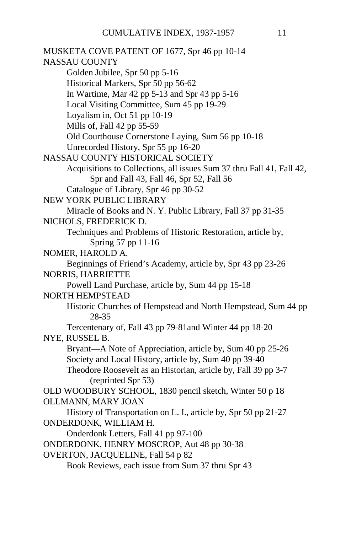MUSKETA COVE PATENT OF 1677, Spr 46 pp 10-14 NASSAU COUNTY Golden Jubilee, Spr 50 pp 5-16 Historical Markers, Spr 50 pp 56-62 In Wartime, Mar 42 pp 5-13 and Spr 43 pp 5-16 Local Visiting Committee, Sum 45 pp 19-29 Loyalism in, Oct 51 pp 10-19 Mills of, Fall 42 pp 55-59 Old Courthouse Cornerstone Laying, Sum 56 pp 10-18 Unrecorded History, Spr 55 pp 16-20 NASSAU COUNTY HISTORICAL SOCIETY Acquisitions to Collections, all issues Sum 37 thru Fall 41, Fall 42, Spr and Fall 43, Fall 46, Spr 52, Fall 56 Catalogue of Library, Spr 46 pp 30-52 NEW YORK PUBLIC LIBRARY Miracle of Books and N. Y. Public Library, Fall 37 pp 31-35 NICHOLS, FREDERICK D. Techniques and Problems of Historic Restoration, article by, Spring 57 pp 11-16 NOMER, HAROLD A. Beginnings of Friend's Academy, article by, Spr 43 pp 23-26 NORRIS, HARRIETTE Powell Land Purchase, article by, Sum 44 pp 15-18 NORTH HEMPSTEAD Historic Churches of Hempstead and North Hempstead, Sum 44 pp 28-35 Tercentenary of, Fall 43 pp 79-81and Winter 44 pp 18-20 NYE, RUSSEL B. Bryant—A Note of Appreciation, article by, Sum 40 pp 25-26 Society and Local History, article by, Sum 40 pp 39-40 Theodore Roosevelt as an Historian, article by, Fall 39 pp 3-7 (reprinted Spr 53) OLD WOODBURY SCHOOL, 1830 pencil sketch, Winter 50 p 18 OLLMANN, MARY JOAN History of Transportation on L. I., article by, Spr 50 pp 21-27 ONDERDONK, WILLIAM H. Onderdonk Letters, Fall 41 pp 97-100 ONDERDONK, HENRY MOSCROP, Aut 48 pp 30-38 OVERTON, JACQUELINE, Fall 54 p 82 Book Reviews, each issue from Sum 37 thru Spr 43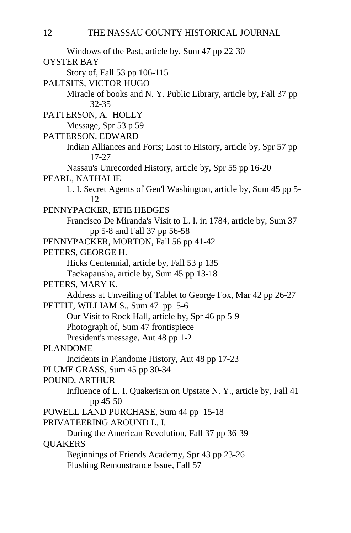Windows of the Past, article by, Sum 47 pp 22-30 OYSTER BAY Story of, Fall 53 pp 106-115 PALTSITS, VICTOR HUGO Miracle of books and N. Y. Public Library, article by, Fall 37 pp 32-35 PATTERSON, A. HOLLY Message, Spr 53 p 59 PATTERSON, EDWARD Indian Alliances and Forts; Lost to History, article by, Spr 57 pp 17-27 Nassau's Unrecorded History, article by, Spr 55 pp 16-20 PEARL, NATHALIE L. I. Secret Agents of Gen'l Washington, article by, Sum 45 pp 5- 12 PENNYPACKER, ETIE HEDGES Francisco De Miranda's Visit to L. I. in 1784, article by, Sum 37 pp 5-8 and Fall 37 pp 56-58 PENNYPACKER, MORTON, Fall 56 pp 41-42 PETERS, GEORGE H. Hicks Centennial, article by, Fall 53 p 135 Tackapausha, article by, Sum 45 pp 13-18 PETERS, MARY K. Address at Unveiling of Tablet to George Fox, Mar 42 pp 26-27 PETTIT, WILLIAM S., Sum 47 pp 5-6 Our Visit to Rock Hall, article by, Spr 46 pp 5-9 Photograph of, Sum 47 frontispiece President's message, Aut 48 pp 1-2 PLANDOME Incidents in Plandome History, Aut 48 pp 17-23 PLUME GRASS, Sum 45 pp 30-34 POUND, ARTHUR Influence of L. I. Quakerism on Upstate N. Y., article by, Fall 41 pp 45-50 POWELL LAND PURCHASE, Sum 44 pp 15-18 PRIVATEERING AROUND L. I. During the American Revolution, Fall 37 pp 36-39 QUAKERS Beginnings of Friends Academy, Spr 43 pp 23-26 Flushing Remonstrance Issue, Fall 57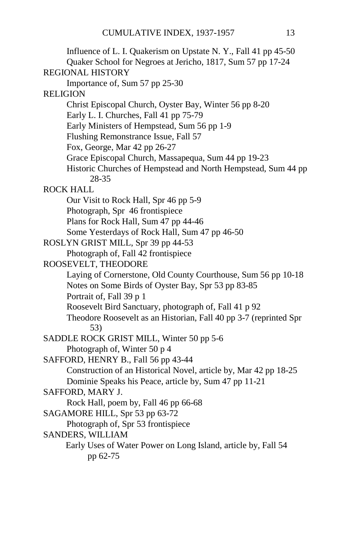| Influence of L. I. Quakerism on Upstate N. Y., Fall 41 pp 45-50   |  |
|-------------------------------------------------------------------|--|
| Quaker School for Negroes at Jericho, 1817, Sum 57 pp 17-24       |  |
| <b>REGIONAL HISTORY</b>                                           |  |
| Importance of, Sum 57 pp 25-30                                    |  |
| <b>RELIGION</b>                                                   |  |
| Christ Episcopal Church, Oyster Bay, Winter 56 pp 8-20            |  |
| Early L. I. Churches, Fall 41 pp 75-79                            |  |
| Early Ministers of Hempstead, Sum 56 pp 1-9                       |  |
| Flushing Remonstrance Issue, Fall 57                              |  |
| Fox, George, Mar 42 pp 26-27                                      |  |
| Grace Episcopal Church, Massapequa, Sum 44 pp 19-23               |  |
| Historic Churches of Hempstead and North Hempstead, Sum 44 pp     |  |
| 28-35                                                             |  |
| <b>ROCK HALL</b>                                                  |  |
| Our Visit to Rock Hall, Spr 46 pp 5-9                             |  |
| Photograph, Spr 46 frontispiece                                   |  |
| Plans for Rock Hall, Sum 47 pp 44-46                              |  |
| Some Yesterdays of Rock Hall, Sum 47 pp 46-50                     |  |
| ROSLYN GRIST MILL, Spr 39 pp 44-53                                |  |
| Photograph of, Fall 42 frontispiece                               |  |
| ROOSEVELT, THEODORE                                               |  |
| Laying of Cornerstone, Old County Courthouse, Sum 56 pp 10-18     |  |
| Notes on Some Birds of Oyster Bay, Spr 53 pp 83-85                |  |
| Portrait of, Fall 39 p 1                                          |  |
| Roosevelt Bird Sanctuary, photograph of, Fall 41 p 92             |  |
| Theodore Roosevelt as an Historian, Fall 40 pp 3-7 (reprinted Spr |  |
| 53)                                                               |  |
| SADDLE ROCK GRIST MILL, Winter 50 pp 5-6                          |  |
| Photograph of, Winter 50 p 4                                      |  |
| SAFFORD, HENRY B., Fall 56 pp 43-44                               |  |
| Construction of an Historical Novel, article by, Mar 42 pp 18-25  |  |
| Dominie Speaks his Peace, article by, Sum 47 pp 11-21             |  |
| SAFFORD, MARY J.                                                  |  |
| Rock Hall, poem by, Fall 46 pp 66-68                              |  |
| SAGAMORE HILL, Spr 53 pp 63-72                                    |  |
| Photograph of, Spr 53 frontispiece                                |  |
| SANDERS, WILLIAM                                                  |  |
| Early Uses of Water Power on Long Island, article by, Fall 54     |  |
| pp 62-75                                                          |  |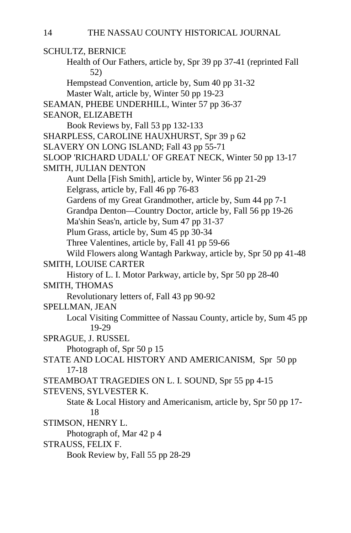SCHULTZ, BERNICE Health of Our Fathers, article by, Spr 39 pp 37-41 (reprinted Fall 52) Hempstead Convention, article by, Sum 40 pp 31-32 Master Walt, article by, Winter 50 pp 19-23 SEAMAN, PHEBE UNDERHILL, Winter 57 pp 36-37 SEANOR, ELIZABETH Book Reviews by, Fall 53 pp 132-133 SHARPLESS, CAROLINE HAUXHURST, Spr 39 p 62 SLAVERY ON LONG ISLAND; Fall 43 pp 55-71 SLOOP 'RICHARD UDALL' OF GREAT NECK, Winter 50 pp 13-17 SMITH, JULIAN DENTON Aunt Della [Fish Smith], article by, Winter 56 pp 21-29 Eelgrass, article by, Fall 46 pp 76-83 Gardens of my Great Grandmother, article by, Sum 44 pp 7-1 Grandpa Denton—Country Doctor, article by, Fall 56 pp 19-26 Ma'shin Seas'n, article by, Sum 47 pp 31-37 Plum Grass, article by, Sum 45 pp 30-34 Three Valentines, article by, Fall 41 pp 59-66 Wild Flowers along Wantagh Parkway, article by, Spr 50 pp 41-48 SMITH, LOUISE CARTER History of L. I. Motor Parkway, article by, Spr 50 pp 28-40 SMITH, THOMAS Revolutionary letters of, Fall 43 pp 90-92 SPELLMAN, JEAN Local Visiting Committee of Nassau County, article by, Sum 45 pp 19-29 SPRAGUE, J. RUSSEL Photograph of, Spr 50 p 15 STATE AND LOCAL HISTORY AND AMERICANISM, Spr 50 pp 17-18 STEAMBOAT TRAGEDIES ON L. I. SOUND, Spr 55 pp 4-15 STEVENS, SYLVESTER K. State & Local History and Americanism, article by, Spr 50 pp 17- 18 STIMSON, HENRY L. Photograph of, Mar 42 p 4 STRAUSS, FELIX F. Book Review by, Fall 55 pp 28-29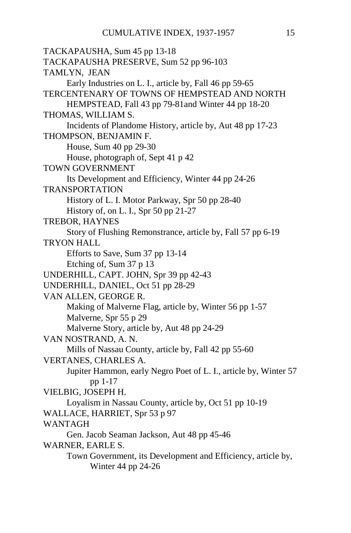```
TACKAPAUSHA, Sum 45 pp 13-18
TACKAPAUSHA PRESERVE, Sum 52 pp 96-103
TAMLYN, JEAN
     Early Industries on L. I., article by, Fall 46 pp 59-65
TERCENTENARY OF TOWNS OF HEMPSTEAD AND NORTH
     HEMPSTEAD, Fall 43 pp 79-81and Winter 44 pp 18-20
THOMAS, WILLIAM S.
     Incidents of Plandome History, article by, Aut 48 pp 17-23
THOMPSON, BENJAMIN F.
     House, Sum 40 pp 29-30
     House, photograph of, Sept 41 p 42
TOWN GOVERNMENT
     Its Development and Efficiency, Winter 44 pp 24-26
TRANSPORTATION
     History of L. I. Motor Parkway, Spr 50 pp 28-40
     History of, on L. I., Spr 50 pp 21-27
TREBOR, HAYNES
     Story of Flushing Remonstrance, article by, Fall 57 pp 6-19
TRYON HALL
     Efforts to Save, Sum 37 pp 13-14
     Etching of, Sum 37 p 13
UNDERHILL, CAPT. JOHN, Spr 39 pp 42-43
UNDERHILL, DANIEL, Oct 51 pp 28-29
VAN ALLEN, GEORGE R.
     Making of Malverne Flag, article by, Winter 56 pp 1-57
     Malverne, Spr 55 p 29
     Malverne Story, article by, Aut 48 pp 24-29
VAN NOSTRAND, A. N.
     Mills of Nassau County, article by, Fall 42 pp 55-60
VERTANES, CHARLES A.
     Jupiter Hammon, early Negro Poet of L. I., article by, Winter 57 
           pp 1-17
VIELBIG, JOSEPH H.
     Loyalism in Nassau County, article by, Oct 51 pp 10-19
WALLACE, HARRIET, Spr 53 p 97
WANTAGH
     Gen. Jacob Seaman Jackson, Aut 48 pp 45-46 
WARNER, EARLE S.
     Town Government, its Development and Efficiency, article by,
           Winter 44 pp 24-26
```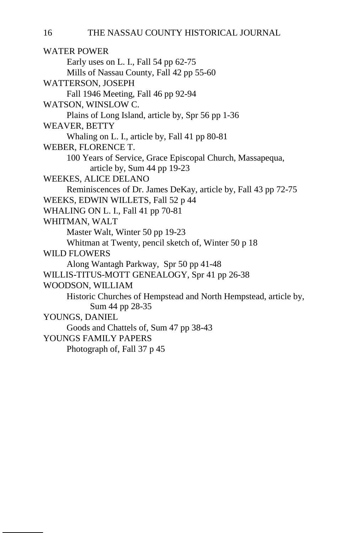WATER POWER Early uses on L. I., Fall 54 pp 62-75 Mills of Nassau County, Fall 42 pp 55-60 WATTERSON, JOSEPH Fall 1946 Meeting, Fall 46 pp 92-94 WATSON, WINSLOW C. Plains of Long Island, article by, Spr 56 pp 1-36 WEAVER, BETTY Whaling on L. I., article by, Fall 41 pp 80-81 WEBER, FLORENCE T. 100 Years of Service, Grace Episcopal Church, Massapequa, article by, Sum 44 pp 19-23 WEEKES, ALICE DELANO Reminiscences of Dr. James DeKay, article by, Fall 43 pp 72-75 WEEKS, EDWIN WILLETS, Fall 52 p 44 WHALING ON L. I., Fall 41 pp 70-81 WHITMAN, WALT Master Walt, Winter 50 pp 19-23 Whitman at Twenty, pencil sketch of, Winter 50 p 18 WILD FLOWERS Along Wantagh Parkway, Spr 50 pp 41-48 WILLIS-TITUS-MOTT GENEALOGY, Spr 41 pp 26-38 WOODSON, WILLIAM Historic Churches of Hempstead and North Hempstead, article by, Sum 44 pp 28-35 YOUNGS, DANIEL Goods and Chattels of, Sum 47 pp 38-43 YOUNGS FAMILY PAPERS Photograph of, Fall 37 p 45